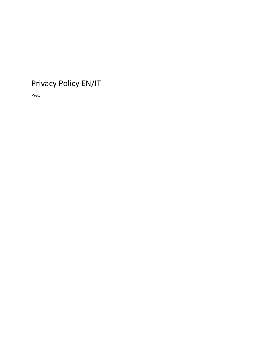## Privacy Policy EN/IT

PwC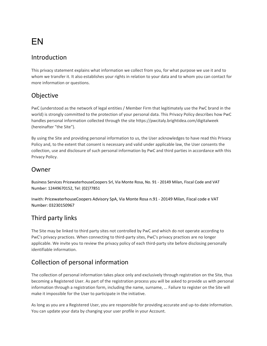# EN

#### Introduction

This privacy statement explains what information we collect from you, for what purpose we use it and to whom we transfer it. It also establishes your rights in relation to your data and to whom you can contact for more information or questions.

## Objective

PwC (understood as the network of legal entities / Member Firm that legitimately use the PwC brand in the world) is strongly committed to the protection of your personal data. This Privacy Policy describes how PwC handles personal information collected through the site https://pwcitaly.brightidea.com/digitalweek (hereinafter "the Site").

By using the Site and providing personal information to us, the User acknowledges to have read this Privacy Policy and, to the extent that consent is necessary and valid under applicable law, the User consents the collection, use and disclosure of such personal information by PwC and third parties in accordance with this Privacy Policy.

#### Owner

Business Services PricewaterhouseCoopers Srl, Via Monte Rosa, No. 91 - 20149 Milan, Fiscal Code and VAT Number: 12449670152, Tel: (02)77851

Inwith: PricewaterhouseCoopers Advisory SpA, Via Monte Rosa n.91 - 20149 Milan, Fiscal code e VAT Number: 03230150967

## Third party links

The Site may be linked to third party sites not controlled by PwC and which do not operate according to PwC's privacy practices. When connecting to third-party sites, PwC's privacy practices are no longer applicable. We invite you to review the privacy policy of each third-party site before disclosing personally identifiable information.

## Collection of personal information

The collection of personal information takes place only and exclusively through registration on the Site, thus becoming a Registered User. As part of the registration process you will be asked to provide us with personal information through a registration form, including the name, surname, ... Failure to register on the Site will make it impossible for the User to participate in the initiative.

As long as you are a Registered User, you are responsible for providing accurate and up-to-date information. You can update your data by changing your user profile in your Account.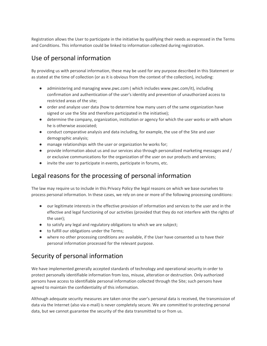Registration allows the User to participate in the initiative by qualifying their needs as expressed in the Terms and Conditions. This information could be linked to information collected during registration.

## Use of personal information

By providing us with personal information, these may be used for any purpose described in this Statement or as stated at the time of collection (or as it is obvious from the context of the collection), including:

- administering and managing www.pwc.com ( which includes www.pwc.com/it), including confirmation and authentication of the user's identity and prevention of unauthorized access to restricted areas of the site;
- order and analyze user data (how to determine how many users of the same organization have signed or use the Site and therefore participated in the initiative);
- determine the company, organization, institution or agency for which the user works or with whom he is otherwise associated;
- conduct comparative analysis and data including, for example, the use of the Site and user demographic analysis;
- manage relationships with the user or organization he works for;
- provide information about us and our services also through personalized marketing messages and / or exclusive communications for the organization of the user on our products and services;
- invite the user to participate in events, participate in forums, etc.

## Legal reasons for the processing of personal information

The law may require us to include in this Privacy Policy the legal reasons on which we base ourselves to process personal information. In these cases, we rely on one or more of the following processing conditions:

- our legitimate interests in the effective provision of information and services to the user and in the effective and legal functioning of our activities (provided that they do not interfere with the rights of the user);
- to satisfy any legal and regulatory obligations to which we are subject;
- to fulfill our obligations under the Terms;
- where no other processing conditions are available, if the User have consented us to have their personal information processed for the relevant purpose.

## Security of personal information

We have implemented generally accepted standards of technology and operational security in order to protect personally identifiable information from loss, misuse, alteration or destruction. Only authorized persons have access to identifiable personal information collected through the Site; such persons have agreed to maintain the confidentiality of this information.

Although adequate security measures are taken once the user's personal data is received, the transmission of data via the Internet (also via e-mail) is never completely secure. We are committed to protecting personal data, but we cannot guarantee the security of the data transmitted to or from us.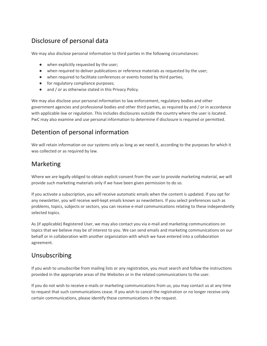## Disclosure of personal data

We may also disclose personal information to third parties in the following circumstances:

- when explicitly requested by the user;
- when required to deliver publications or reference materials as requested by the user;
- when required to facilitate conferences or events hosted by third parties;
- for regulatory compliance purposes;
- and / or as otherwise stated in this Privacy Policy.

We may also disclose your personal information to law enforcement, regulatory bodies and other government agencies and professional bodies and other third parties, as required by and / or in accordance with applicable law or regulation. This includes disclosures outside the country where the user is located. PwC may also examine and use personal information to determine if disclosure is required or permitted.

#### Detention of personal information

We will retain information on our systems only as long as we need it, according to the purposes for which it was collected or as required by law.

#### Marketing

Where we are legally obliged to obtain explicit consent from the user to provide marketing material, we will provide such marketing materials only if we have been given permission to do so.

If you activate a subscription, you will receive automatic emails when the content is updated. If you opt for any newsletter, you will receive well-kept emails known as newsletters. If you select preferences such as problems, topics, subjects or sectors, you can receive e-mail communications relating to these independently selected topics.

As (if applicable) Registered User, we may also contact you via e-mail and marketing communications on topics that we believe may be of interest to you. We can send emails and marketing communications on our behalf or in collaboration with another organization with which we have entered into a collaboration agreement.

#### Unsubscribing

If you wish to unsubscribe from mailing lists or any registration, you must search and follow the instructions provided in the appropriate areas of the Websites or in the related communications to the user.

If you do not wish to receive e-mails or marketing communications from us, you may contact us at any time to request that such communications cease. If you wish to cancel the registration or no longer receive only certain communications, please identify these communications in the request.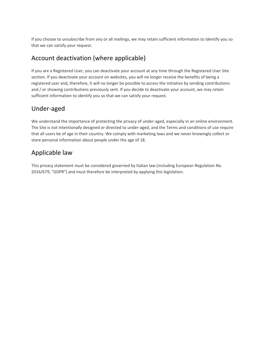If you choose to unsubscribe from any or all mailings, we may retain sufficient information to identify you so that we can satisfy your request.

### Account deactivation (where applicable)

If you are a Registered User, you can deactivate your account at any time through the Registered User Site section. If you deactivate your account on websites, you will no longer receive the benefits of being a registered user and, therefore, it will no longer be possible to access the initiative by sending contributions and / or showing contributions previously sent. If you decide to deactivate your account, we may retain sufficient information to identify you so that we can satisfy your request.

## Under-aged

We understand the importance of protecting the privacy of under-aged, especially in an online environment. The Site is not intentionally designed or directed to under-aged, and the Terms and conditions of use require that all users be of age in their country. We comply with marketing laws and we never knowingly collect or store personal information about people under the age of 18.

## Applicable law

This privacy statement must be considered governed by Italian law (including European Regulation No. 2016/679, "GDPR") and must therefore be interpreted by applying this legislation.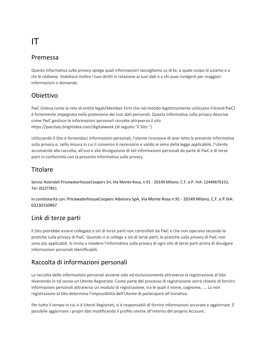# IT

#### Premessa

Questa informativa sulla privacy spiega quali informazioni raccogliamo su di te, a quale scopo le usiamo e a chi le cediamo. Stabilisce inoltre i tuoi diritti in relazione ai tuoi dati e a chi puoi rivolgerti per maggiori informazioni o domande.

## Obiettivo

PwC (intesa come la rete di entità legali/Member Firm che nel mondo legittimamente utilizzano il brand PwC) è fortemente impegnata nella protezione dei tuoi dati personali. Questa Informativa sulla privacy descrive come PwC gestisce le informazioni personali raccolte attraverso il sito https://pwcitaly.brightidea.com/digitalweek (di seguito "il Sito ").

Utilizzando il Sito e fornendoci informazioni personali, l'utente riconosce di aver letto la presente Informativa sulla privacy e, nella misura in cui il consenso è necessario e valido ai sensi della legge applicabile, l'utente acconsente alla raccolta, all'uso e alla divulgazione di tali informazioni personali da parte di PwC e di terze parti in conformità con la presente Informativa sulla privacy.

#### **Titolare**

Servizi Aziendali PricewaterhouseCoopers Srl, Via Monte Rosa, n.91 - 20149 Milano, C.F. e P. IVA: 12449670152, Tel: (02)77851

In contitolarità con: PricewaterhouseCoopers Advisory SpA, Via Monte Rosa n.91 - 20149 Milano, C.F. e P.IVA: 03230150967

## Link di terze parti

Il Sito potrebbe essere collegato a siti di terze parti non controllati da PwC e che non operano secondo le pratiche sulla privacy di PwC. Quando ci si collega a siti di terze parti, le pratiche sulla privacy di PwC non sono più applicabili. Si invita a rivedere l'informativa sulla privacy di ogni sito di terze parti prima di divulgare informazioni personali identificabili.

## Raccolta di informazioni personali

La raccolta delle informazioni personali avviene solo ed esclusivamente attraverso la registrazione al Sito divenendo in tal senso un Utente Registrato. Come parte del processo di registrazione verrà chiesto di fornirci informazioni personali attraverso un modulo di registrazione, tra le quali il nome, cognome, … La non registrazione al Sito determina l'impossibilità dell'Utente di partecipare all'iniziativa.

Per tutto il tempo in cui si è Utenti Registrati, si è responsabili di fornire informazioni accurate e aggiornate. È possibile aggiornare i propri dati modificando il profilo utente all'interno del proprio Account.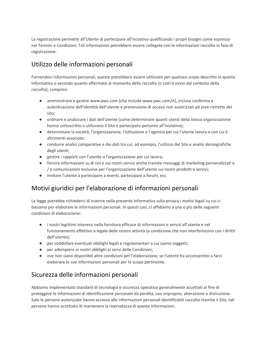La registrazione permette all'Utente di partecipare all'iniziativa qualificando i propri bisogni come espresso nei Termini e Condizioni. Tali informazioni potrebbero essere collegate con le informazioni raccolte in fase di registrazione.

## Utilizzo delle informazioni personali

Fornendoci informazioni personali, queste potrebbero essere utilizzate per qualsiasi scopo descritto in questa Informativa o secondo quanto affermato al momento della raccolta (o com'è ovvio dal contesto della raccolta), compresi:

- amministrare e gestire www.pwc.com (che include www.pwc.com/it), incluse conferma e autenticazione dell'identità dell'utente e prevenzione di accessi non autorizzati ad aree ristrette del sito;
- ordinare e analizzare i dati dell'utente (come determinare quanti utenti della stessa organizzazione hanno sottoscritto o utilizzano il Sito e partecipato pertanto all'iniziativa);
- determinare la società, l'organizzazione, l'istituzione o l'agenzia per cui l'utente lavora o con cui è altrimenti associato;
- condurre analisi comparative e dei dati tra cui, ad esempio, l'utilizzo del Sito e analisi demografiche degli utenti;
- gestire i rapporti con l'utente o l'organizzazione per cui lavora;
- fornire informazioni su di noi e sui nostri servizi anche tramite messaggi di marketing personalizzati e / o comunicazioni esclusive per l'organizzazione dell'utente sui nostri prodotti e servizi;
- invitare l'utente a partecipare a eventi, partecipare a forum, ecc.

#### Motivi giuridici per l'elaborazione di informazioni personali

La legge potrebbe richiederci di inserire nella presente Informativa sulla privacy i motivi legali su cui ci basiamo per elaborare le informazioni personali. In questi casi, ci affidiamo a una o più delle seguenti condizioni di elaborazione:

- i nostri legittimi interessi nella fornitura efficace di informazioni e servizi all'utente e nel funzionamento effettivo e legale delle nostre attività (a condizione che non interferiscono con i diritti dell'utente);
- per soddisfare eventuali obblighi legali e regolamentari a cui siamo soggetti;
- per adempiere ai nostri obblighi ai sensi delle Condizioni;
- ove non siano disponibili altre condizioni per l'elaborazione, se l'utente ha acconsentito a farci elaborare le sue informazioni personali per lo scopo pertinente.

#### Sicurezza delle informazioni personali

Abbiamo implementato standard di tecnologia e sicurezza operativa generalmente accettati al fine di proteggere le informazioni di identificazione personale da perdita, uso improprio, alterazione o distruzione. Solo le persone autorizzate hanno accesso alle informazioni personali identificabili raccolte tramite il Sito; tali persone hanno accettato di mantenere la riservatezza di queste informazioni.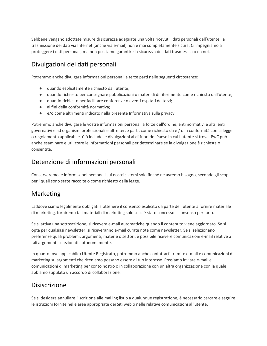Sebbene vengano adottate misure di sicurezza adeguate una volta ricevuti i dati personali dell'utente, la trasmissione dei dati via Internet (anche via e-mail) non è mai completamente sicura. Ci impegniamo a proteggere i dati personali, ma non possiamo garantire la sicurezza dei dati trasmessi a o da noi.

## Divulgazioni dei dati personali

Potremmo anche divulgare informazioni personali a terze parti nelle seguenti circostanze:

- quando esplicitamente richiesto dall'utente;
- quando richiesto per consegnare pubblicazioni o materiali di riferimento come richiesto dall'utente;
- quando richiesto per facilitare conferenze o eventi ospitati da terzi;
- ai fini della conformità normativa;
- e/o come altrimenti indicato nella presente Informativa sulla privacy.

Potremmo anche divulgare le vostre informazioni personali a forze dell'ordine, enti normativi e altri enti governativi e ad organismi professionali e altre terze parti, come richiesto da e / o in conformità con la legge o regolamento applicabile. Ciò include le divulgazioni al di fuori del Paese in cui l'utente si trova. PwC può anche esaminare e utilizzare le informazioni personali per determinare se la divulgazione è richiesta o consentita.

#### Detenzione di informazioni personali

Conserveremo le informazioni personali sui nostri sistemi solo finché ne avremo bisogno, secondo gli scopi per i quali sono state raccolte o come richiesto dalla legge.

#### Marketing

Laddove siamo legalmente obbligati a ottenere il consenso esplicito da parte dell'utente a fornire materiale di marketing, forniremo tali materiali di marketing solo se ci è stato concesso il consenso per farlo.

Se si attiva una sottoscrizione, si riceverà e-mail automatiche quando il contenuto viene aggiornato. Se si opta per qualsiasi newsletter, si riceveranno e-mail curate note come newsletter. Se si selezionano preferenze quali problemi, argomenti, materie o settori, è possibile ricevere comunicazioni e-mail relative a tali argomenti selezionati autonomamente.

In quanto (ove applicabile) Utente Registrato, potremmo anche contattarti tramite e-mail e comunicazioni di marketing su argomenti che riteniamo possano essere di tuo interesse. Possiamo inviare e-mail e comunicazioni di marketing per conto nostro o in collaborazione con un'altra organizzazione con la quale abbiamo stipulato un accordo di collaborazione.

#### Disiscrizione

Se si desidera annullare l'iscrizione alle mailing list o a qualunque registrazione, è necessario cercare e seguire le istruzioni fornite nelle aree appropriate dei Siti web o nelle relative comunicazioni all'utente.